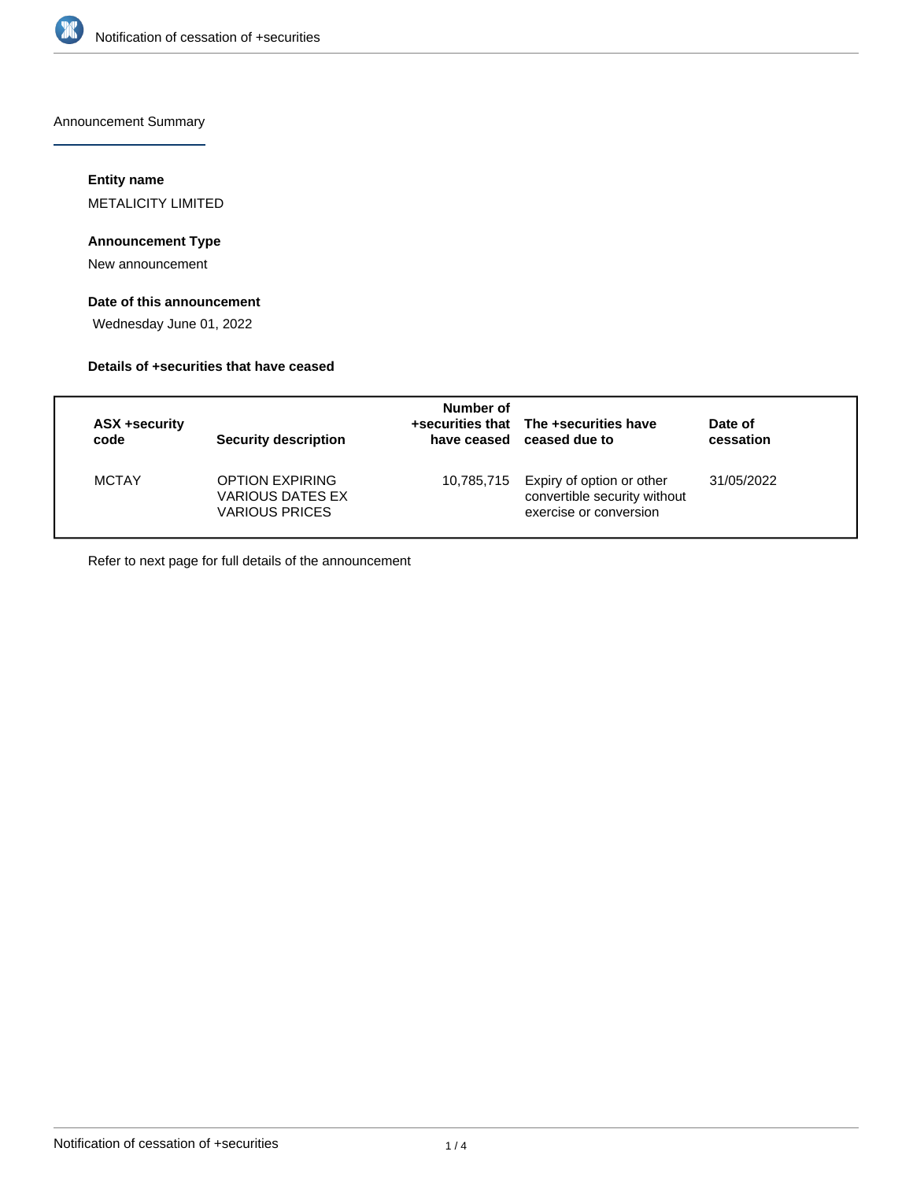

Announcement Summary

## **Entity name**

METALICITY LIMITED

## **Announcement Type**

New announcement

## **Date of this announcement**

Wednesday June 01, 2022

### **Details of +securities that have ceased**

| ASX +security<br>code | <b>Security description</b>                                         | Number of<br>have ceased | +securities that The +securities have<br>ceased due to                              | Date of<br>cessation |
|-----------------------|---------------------------------------------------------------------|--------------------------|-------------------------------------------------------------------------------------|----------------------|
| <b>MCTAY</b>          | <b>OPTION EXPIRING</b><br>VARIOUS DATES EX<br><b>VARIOUS PRICES</b> | 10,785,715               | Expiry of option or other<br>convertible security without<br>exercise or conversion | 31/05/2022           |

Refer to next page for full details of the announcement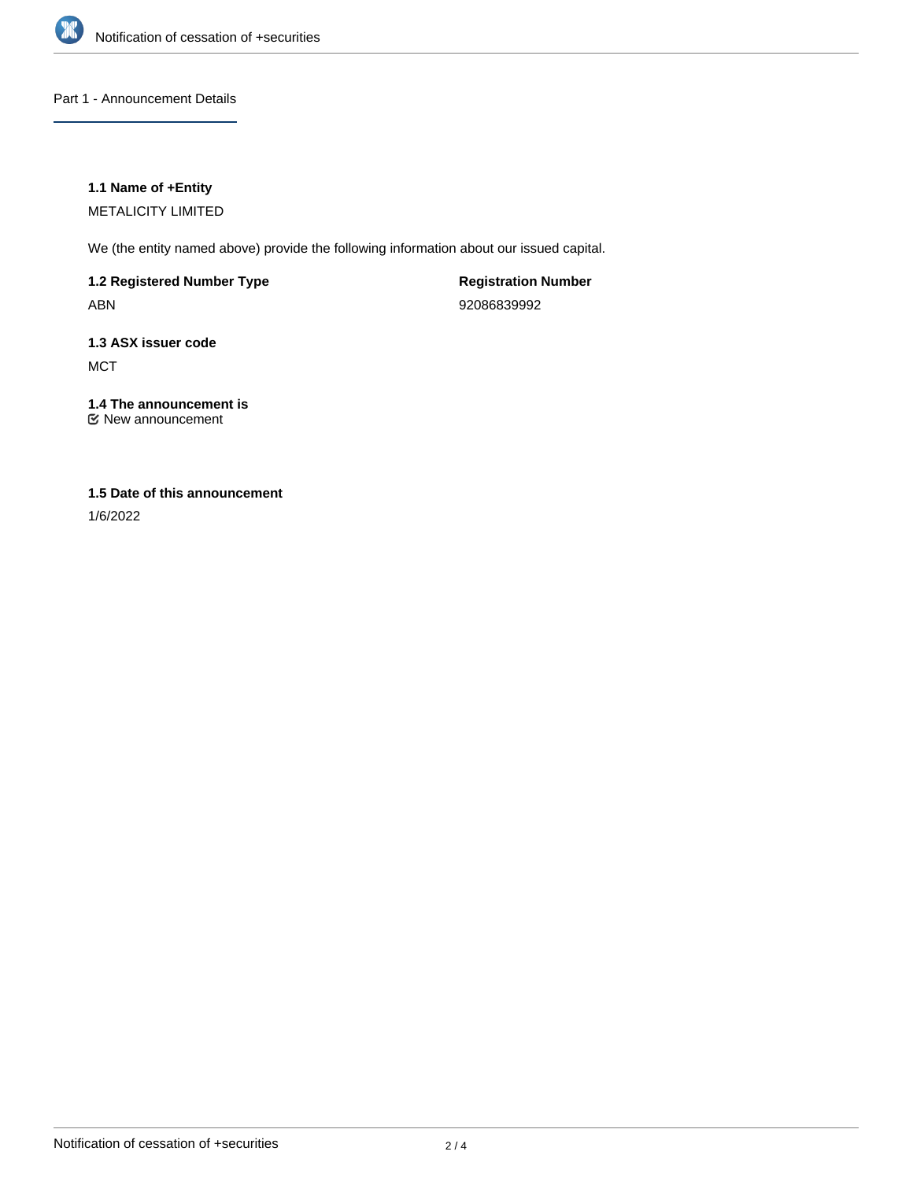

Part 1 - Announcement Details

## **1.1 Name of +Entity**

METALICITY LIMITED

We (the entity named above) provide the following information about our issued capital.

**1.2 Registered Number Type** ABN

**Registration Number** 92086839992

**1.3 ASX issuer code MCT** 

**1.4 The announcement is** New announcement

## **1.5 Date of this announcement**

1/6/2022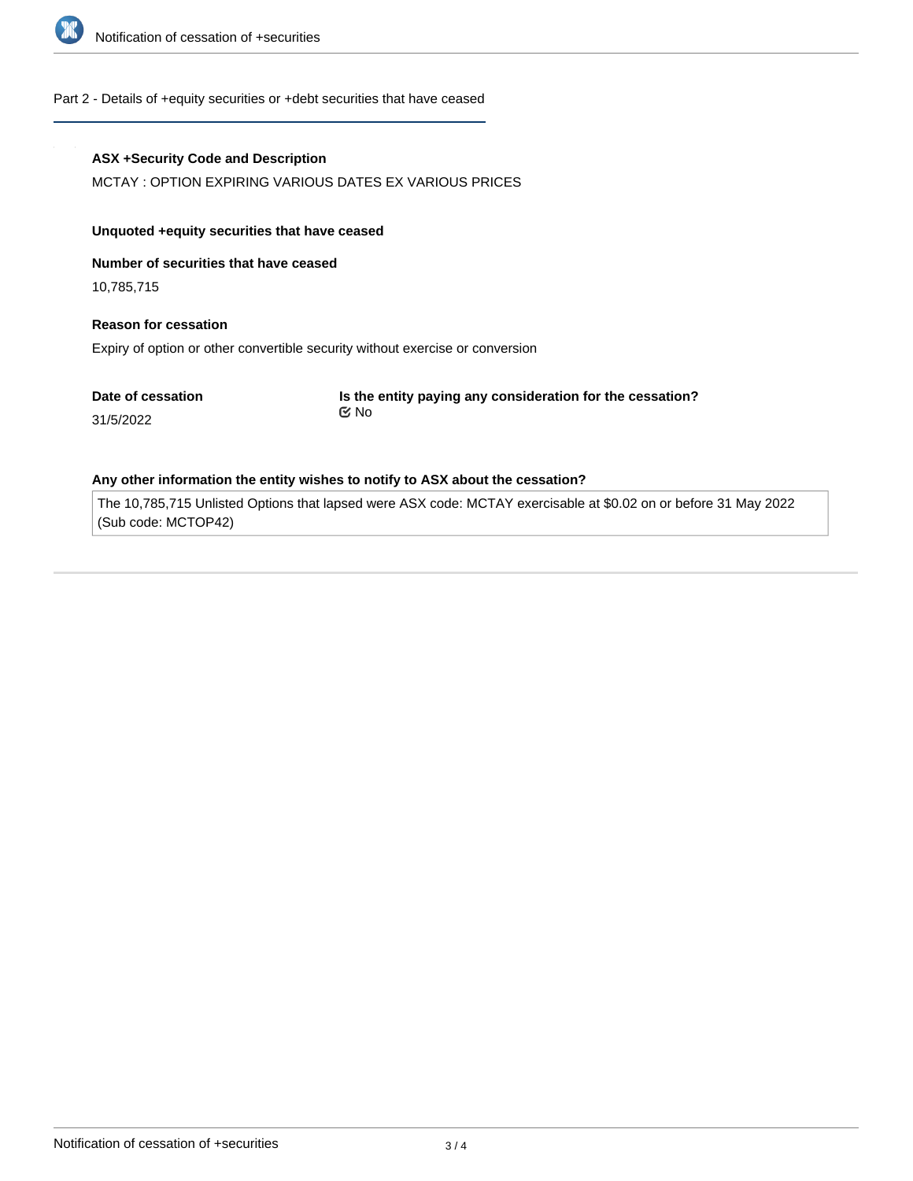

#### Part 2 - Details of +equity securities or +debt securities that have ceased

#### **ASX +Security Code and Description**

MCTAY : OPTION EXPIRING VARIOUS DATES EX VARIOUS PRICES

#### **Unquoted +equity securities that have ceased**

**Number of securities that have ceased**

10,785,715

31/5/2022

## **Reason for cessation**

Expiry of option or other convertible security without exercise or conversion

**Date of cessation**

**Is the entity paying any consideration for the cessation?** No

# **Any other information the entity wishes to notify to ASX about the cessation?**

The 10,785,715 Unlisted Options that lapsed were ASX code: MCTAY exercisable at \$0.02 on or before 31 May 2022 (Sub code: MCTOP42)